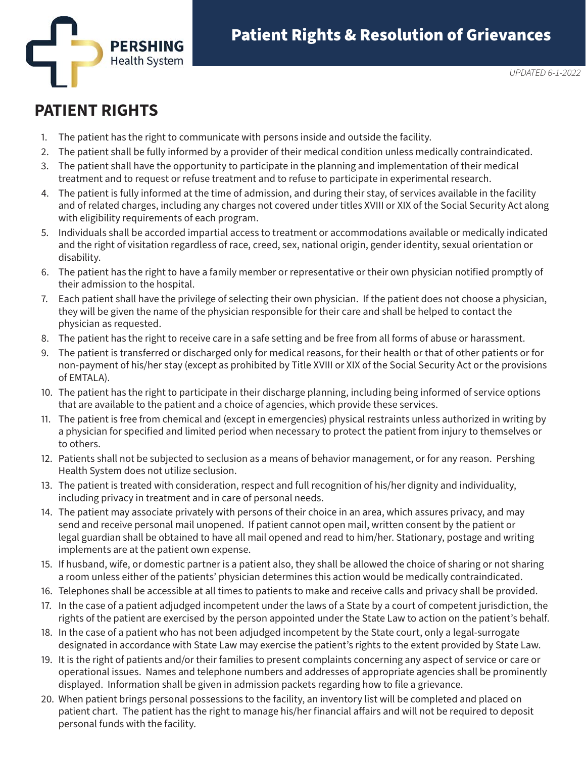

## **PATIENT RIGHTS**

- 1. The patient has the right to communicate with persons inside and outside the facility.
- 2. The patient shall be fully informed by a provider of their medical condition unless medically contraindicated.
- 3. The patient shall have the opportunity to participate in the planning and implementation of their medical treatment and to request or refuse treatment and to refuse to participate in experimental research.
- 4. The patient is fully informed at the time of admission, and during their stay, of services available in the facility and of related charges, including any charges not covered under titles XVIII or XIX of the Social Security Act along with eligibility requirements of each program.
- 5. Individuals shall be accorded impartial access to treatment or accommodations available or medically indicated and the right of visitation regardless of race, creed, sex, national origin, gender identity, sexual orientation or disability.
- 6. The patient has the right to have a family member or representative or their own physician notified promptly of their admission to the hospital.
- 7. Each patient shall have the privilege of selecting their own physician. If the patient does not choose a physician, they will be given the name of the physician responsible for their care and shall be helped to contact the physician as requested.
- 8. The patient has the right to receive care in a safe setting and be free from all forms of abuse or harassment.
- 9. The patient is transferred or discharged only for medical reasons, for their health or that of other patients or for non-payment of his/her stay (except as prohibited by Title XVIII or XIX of the Social Security Act or the provisions of EMTALA).
- 10. The patient has the right to participate in their discharge planning, including being informed of service options that are available to the patient and a choice of agencies, which provide these services.
- 11. The patient is free from chemical and (except in emergencies) physical restraints unless authorized in writing by a physician for specified and limited period when necessary to protect the patient from injury to themselves or to others.
- 12. Patients shall not be subjected to seclusion as a means of behavior management, or for any reason. Pershing Health System does not utilize seclusion.
- 13. The patient is treated with consideration, respect and full recognition of his/her dignity and individuality, including privacy in treatment and in care of personal needs.
- 14. The patient may associate privately with persons of their choice in an area, which assures privacy, and may send and receive personal mail unopened. If patient cannot open mail, written consent by the patient or legal guardian shall be obtained to have all mail opened and read to him/her. Stationary, postage and writing implements are at the patient own expense.
- 15. If husband, wife, or domestic partner is a patient also, they shall be allowed the choice of sharing or not sharing a room unless either of the patients' physician determines this action would be medically contraindicated.
- 16. Telephones shall be accessible at all times to patients to make and receive calls and privacy shall be provided.
- 17. In the case of a patient adjudged incompetent under the laws of a State by a court of competent jurisdiction, the rights of the patient are exercised by the person appointed under the State Law to action on the patient's behalf.
- 18. In the case of a patient who has not been adjudged incompetent by the State court, only a legal-surrogate designated in accordance with State Law may exercise the patient's rights to the extent provided by State Law.
- 19. It is the right of patients and/or their families to present complaints concerning any aspect of service or care or operational issues. Names and telephone numbers and addresses of appropriate agencies shall be prominently displayed. Information shall be given in admission packets regarding how to file a grievance.
- 20. When patient brings personal possessions to the facility, an inventory list will be completed and placed on patient chart. The patient has the right to manage his/her financial affairs and will not be required to deposit personal funds with the facility.